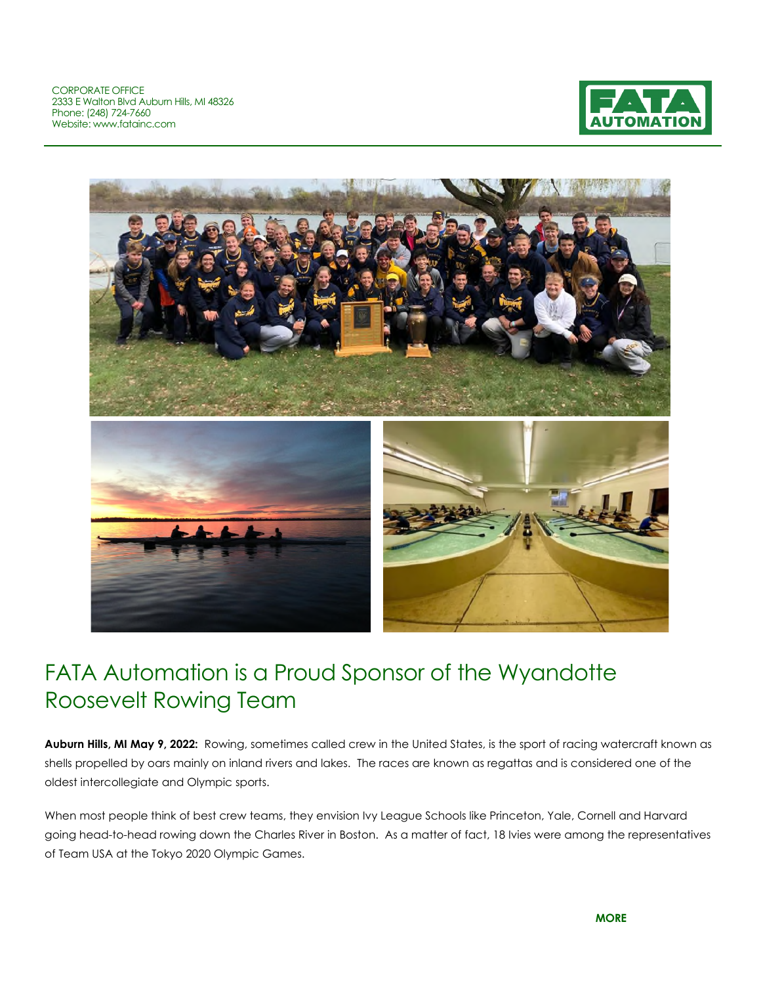CORPORATE OFFICE 2333 E Walton Blvd Auburn Hills, MI 48326 Phone: (248) 724-7660 Website: www.fatainc.com





## FATA Automation is a Proud Sponsor of the Wyandotte Roosevelt Rowing Team

**Auburn Hills, MI May 9, 2022:** Rowing, sometimes called crew in the United States, is the sport of racing watercraft known as shells propelled by oars mainly on inland rivers and lakes. The races are known as regattas and is considered one of the oldest intercollegiate and Olympic sports.

When most people think of best crew teams, they envision Ivy League Schools like Princeton, Yale, Cornell and Harvard going head-to-head rowing down the Charles River in Boston. As a matter of fact, 18 Ivies were among the representatives of Team USA at the Tokyo 2020 Olympic Games.